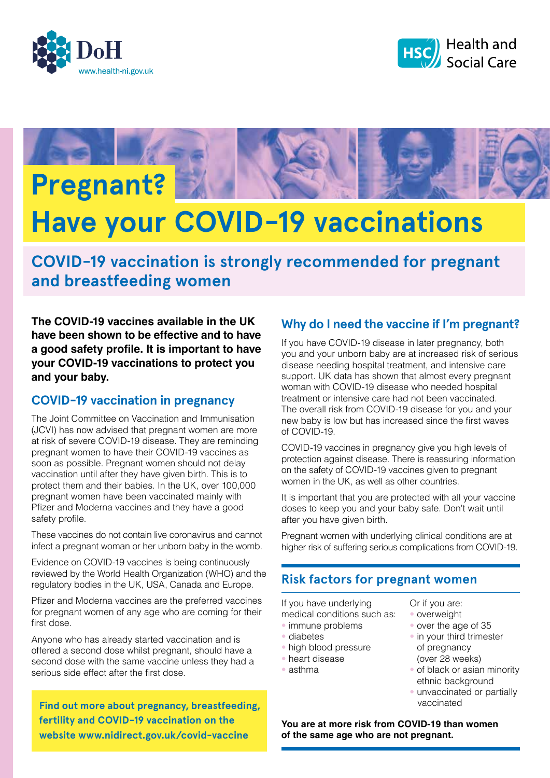





# **Have your COVID-19 vaccinations**

**COVID-19 vaccination is strongly recommended for pregnant and breastfeeding women**

**The COVID-19 vaccines available in the UK have been shown to be effective and to have a good safety profile. It is important to have your COVID-19 vaccinations to protect you and your baby.**

## **COVID-19 vaccination in pregnancy**

The Joint Committee on Vaccination and Immunisation (JCVI) has now advised that pregnant women are more at risk of severe COVID-19 disease. They are reminding pregnant women to have their COVID-19 vaccines as soon as possible. Pregnant women should not delay vaccination until after they have given birth. This is to protect them and their babies. In the UK, over 100,000 pregnant women have been vaccinated mainly with Pfizer and Moderna vaccines and they have a good safety profile.

These vaccines do not contain live coronavirus and cannot infect a pregnant woman or her unborn baby in the womb.

Evidence on COVID-19 vaccines is being continuously reviewed by the World Health Organization (WHO) and the regulatory bodies in the UK, USA, Canada and Europe.

Pfizer and Moderna vaccines are the preferred vaccines for pregnant women of any age who are coming for their first dose.

Anyone who has already started vaccination and is offered a second dose whilst pregnant, should have a second dose with the same vaccine unless they had a serious side effect after the first dose.

**Find out more about pregnancy, breastfeeding, fertility and COVID-19 vaccination on the website www.nidirect.gov.uk/covid-vaccine**

# **Why do I need the vaccine if I'm pregnant?**

If you have COVID-19 disease in later pregnancy, both you and your unborn baby are at increased risk of serious disease needing hospital treatment, and intensive care support. UK data has shown that almost every pregnant woman with COVID-19 disease who needed hospital treatment or intensive care had not been vaccinated. The overall risk from COVID-19 disease for you and your new baby is low but has increased since the first waves of COVID-19.

COVID-19 vaccines in pregnancy give you high levels of protection against disease. There is reassuring information on the safety of COVID-19 vaccines given to pregnant women in the UK, as well as other countries.

It is important that you are protected with all your vaccine doses to keep you and your baby safe. Don't wait until after you have given birth.

Pregnant women with underlying clinical conditions are at higher risk of suffering serious complications from COVID-19.

# **Risk factors for pregnant women**

If you have underlying medical conditions such as:

- immune problems
- diabetes
- high blood pressure
- heart disease
- asthma

Or if you are:

- overweight
- over the age of 35
- in your third trimester of pregnancy (over 28 weeks)
- of black or asian minority ethnic background
- unvaccinated or partially vaccinated

**You are at more risk from COVID-19 than women of the same age who are not pregnant.**